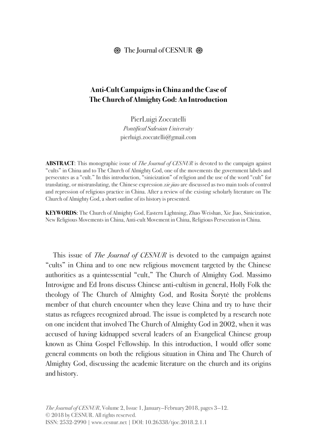#### $\otimes$  The Journal of CESNUR  $\otimes$

### **Anti-Cult Campaigns in China and the Case of The Church of Almighty God: An Introduction**

PierLuigi Zoccatelli *Pontifical Salesian University* pierluigi.zoccatelli@gmail.com

**ABSTRACT**: This monographic issue of *The Journal of CESNUR* is devoted to the campaign against "cults" in China and to The Church of Almighty God, one of the movements the government labels and persecutes as a "cult." In this introduction, "sinicization" of religion and the use of the word "cult" for translating, or mistranslating, the Chinese expression *xie jiao* are discussed as two main tools of control and repression of religious practice in China. After a review of the existing scholarly literature on The Church of Almighty God, a short outline of its history is presented.

**KEYWORDS**: The Church of Almighty God, Eastern Lightning, Zhao Weishan, Xie Jiao, Sinicization, New Religious Movements in China, Anti-cult Movement in China, Religious Persecution in China.

This issue of *The Journal of CESNUR* is devoted to the campaign against "cults" in China and to one new religious movement targeted by the Chinese authorities as a quintessential "cult," The Church of Almighty God. Massimo Introvigne and Ed Irons discuss Chinese anti-cultism in general, Holly Folk the theology of The Church of Almighty God, and Rosita Šorytė the problems member of that church encounter when they leave China and try to have their status as refugees recognized abroad. The issue is completed by a research note on one incident that involved The Church of Almighty God in 2002, when it was accused of having kidnapped several leaders of an Evangelical Chinese group known as China Gospel Fellowship. In this introduction, I would offer some general comments on both the religious situation in China and The Church of Almighty God, discussing the academic literature on the church and its origins and history.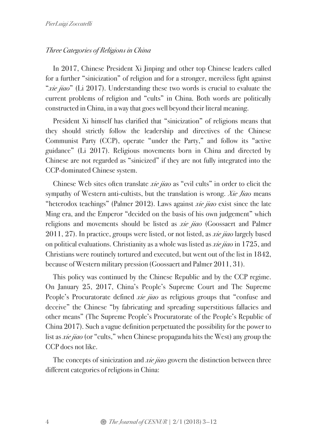### *Three Categories of Religions in China*

In 2017, Chinese President Xi Jinping and other top Chinese leaders called for a further "sinicization" of religion and for a stronger, merciless fight against "*xie jiao*" (Li 2017). Understanding these two words is crucial to evaluate the current problems of religion and "cults" in China. Both words are politically constructed in China, in a way that goes well beyond their literal meaning.

President Xi himself has clarified that "sinicization" of religions means that they should strictly follow the leadership and directives of the Chinese Communist Party (CCP), operate "under the Party," and follow its "active guidance" (Li 2017). Religious movements born in China and directed by Chinese are not regarded as "sinicized" if they are not fully integrated into the CCP-dominated Chinese system.

Chinese Web sites often translate *xie jiao* as "evil cults" in order to elicit the sympathy of Western anti-cultists, but the translation is wrong. *Xie Jiao* means "heterodox teachings" (Palmer 2012). Laws against *xie jiao* exist since the late Ming era, and the Emperor "decided on the basis of his own judgement" which religions and movements should be listed as *xie jiao* (Goossaert and Palmer 2011, 27). In practice, groups were listed, or not listed, as *xie jiao* largely based on political evaluations. Christianity as a whole was listed as *xie jiao* in 1725, and Christians were routinely tortured and executed, but went out of the list in 1842, because of Western military pression (Goossaert and Palmer 2011, 31).

This policy was continued by the Chinese Republic and by the CCP regime. On January 25, 2017, China's People's Supreme Court and The Supreme People's Procuratorate defined *xie jiao* as religious groups that "confuse and deceive" the Chinese "by fabricating and spreading superstitious fallacies and other means" (The Supreme People's Procuratorate of the People's Republic of China 2017). Such a vague definition perpetuated the possibility for the power to list as *xie jiao* (or "cults," when Chinese propaganda hits the West) any group the CCP does not like.

The concepts of sinicization and *xie jiao* govern the distinction between three different categories of religions in China: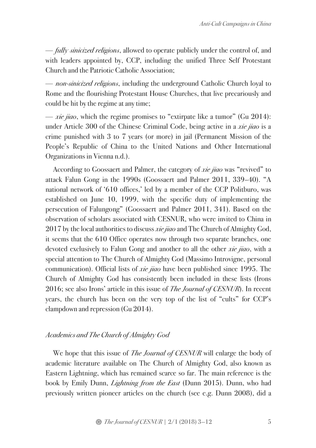— *fully sinicized religions*, allowed to operate publicly under the control of, and with leaders appointed by, CCP, including the unified Three Self Protestant Church and the Patriotic Catholic Association;

— *non-sinicized religions*, including the underground Catholic Church loyal to Rome and the flourishing Protestant House Churches, that live precariously and could be hit by the regime at any time;

— *xie jiao*, which the regime promises to "extirpate like a tumor" (Gu 2014): under Article 300 of the Chinese Criminal Code, being active in a *xie jiao* is a crime punished with 3 to 7 years (or more) in jail (Permanent Mission of the People's Republic of China to the United Nations and Other International Organizations in Vienna n.d.).

According to Goossaert and Palmer, the category of *xie jiao* was "revived" to attack Falun Gong in the 1990s (Goossaert and Palmer 2011, 339–40). "A national network of '610 offices,' led by a member of the CCP Politburo, was established on June 10, 1999, with the specific duty of implementing the persecution of Falungong" (Goossaert and Palmer 2011, 341). Based on the observation of scholars associated with CESNUR, who were invited to China in 2017 by the local authorities to discuss *xie jiao* and The Church of Almighty God, it seems that the 610 Office operates now through two separate branches, one devoted exclusively to Falun Gong and another to all the other *xie jiao*, with a special attention to The Church of Almighty God (Massimo Introvigne, personal communication). Official lists of *xie jiao* have been published since 1995. The Church of Almighty God has consistently been included in these lists (Irons 2016; see also Irons' article in this issue of *The Journal of CESNUR*). In recent years, the church has been on the very top of the list of "cults" for CCP's clampdown and repression (Gu 2014).

#### *Academics and The Church of Almighty God*

We hope that this issue of *The Journal of CESNUR* will enlarge the body of academic literature available on The Church of Almighty God, also known as Eastern Lightning, which has remained scarce so far. The main reference is the book by Emily Dunn, *Lightning from the East* (Dunn 2015). Dunn, who had previously written pioneer articles on the church (see e.g. Dunn 2008), did a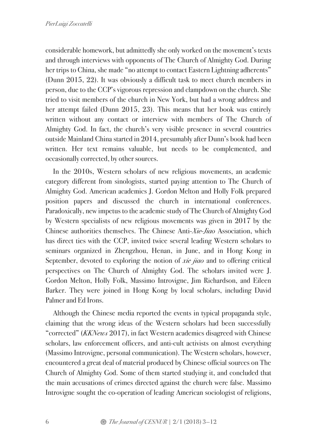considerable homework, but admittedly she only worked on the movement's texts and through interviews with opponents of The Church of Almighty God. During her trips to China, she made "no attempt to contact Eastern Lightning adherents" (Dunn 2015, 22). It was obviously a difficult task to meet church members in person, due to the CCP's vigorous repression and clampdown on the church. She tried to visit members of the church in New York, but had a wrong address and her attempt failed (Dunn 2015, 23). This means that her book was entirely written without any contact or interview with members of The Church of Almighty God. In fact, the church's very visible presence in several countries outside Mainland China started in 2014, presumably after Dunn's book had been written. Her text remains valuable, but needs to be complemented, and occasionally corrected, by other sources.

In the 2010s, Western scholars of new religious movements, an academic category different from sinologists, started paying attention to The Church of Almighty God. American academics J. Gordon Melton and Holly Folk prepared position papers and discussed the church in international conferences. Paradoxically, new impetus to the academic study of The Church of Almighty God by Western specialists of new religious movements was given in 2017 by the Chinese authorities themselves. The Chinese Anti-*Xie*-*Jiao* Association, which has direct ties with the CCP, invited twice several leading Western scholars to seminars organized in Zhengzhou, Henan, in June, and in Hong Kong in September, devoted to exploring the notion of *xie jiao* and to offering critical perspectives on The Church of Almighty God. The scholars invited were J. Gordon Melton, Holly Folk, Massimo Introvigne, Jim Richardson, and Eileen Barker. They were joined in Hong Kong by local scholars, including David Palmer and Ed Irons.

Although the Chinese media reported the events in typical propaganda style, claiming that the wrong ideas of the Western scholars had been successfully "corrected" (*KKNews* 2017), in fact Western academics disagreed with Chinese scholars, law enforcement officers, and anti-cult activists on almost everything (Massimo Introvigne, personal communication). The Western scholars, however, encountered a great deal of material produced by Chinese official sources on The Church of Almighty God. Some of them started studying it, and concluded that the main accusations of crimes directed against the church were false. Massimo Introvigne sought the co-operation of leading American sociologist of religions,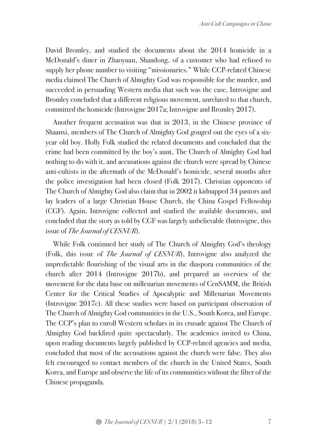David Bromley, and studied the documents about the 2014 homicide in a McDonald's diner in Zhaoyuan, Shandong, of a customer who had refused to supply her phone number to visiting "missionaries." While CCP-related Chinese media claimed The Church of Almighty God was responsible for the murder, and succeeded in persuading Western media that such was the case, Introvigne and Bromley concluded that a different religious movement, unrelated to that church, committed the homicide (Introvigne 2017a; Introvigne and Bromley 2017).

Another frequent accusation was that in 2013, in the Chinese province of Shaanxi, members of The Church of Almighty God gouged out the eyes of a sixyear old boy. Holly Folk studied the related documents and concluded that the crime had been committed by the boy's aunt, The Church of Almighty God had nothing to do with it, and accusations against the church were spread by Chinese anti-cultists in the aftermath of the McDonald's homicide, several months after the police investigation had been closed (Folk 2017). Christian opponents of The Church of Almighty God also claim that in 2002 it kidnapped 34 pastors and lay leaders of a large Christian House Church, the China Gospel Fellowship (CGF). Again, Introvigne collected and studied the available documents, and concluded that the story as told by CGF was largely unbelievable (Introvigne, this issue of *The Journal of CESNUR*).

While Folk continued her study of The Church of Almighty God's theology (Folk, this issue of *The Journal of CESNUR*), Introvigne also analyzed the unpredictable flourishing of the visual arts in the diaspora communities of the church after 2014 (Introvigne 2017b), and prepared an overview of the movement for the data base on millenarian movements of CenSAMM, the British Center for the Critical Studies of Apocalyptic and Millenarian Movements (Introvigne 2017c). All these studies were based on participant observation of The Church of Almighty God communities in the U.S., South Korea, and Europe. The CCP's plan to enroll Western scholars in its crusade against The Church of Almighty God backfired quite spectacularly. The academics invited to China, upon reading documents largely published by CCP-related agencies and media, concluded that most of the accusations against the church were false. They also felt encouraged to contact members of the church in the United States, South Korea, and Europe and observe the life of its communities without the filter of the Chinese propaganda.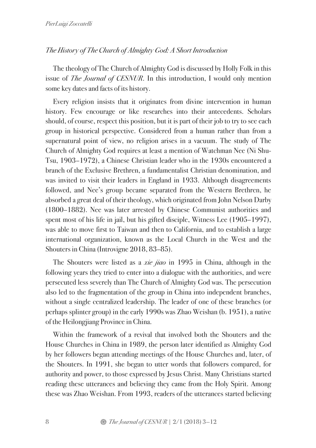## *The History of The Church of Almighty God: A Short Introduction*

The theology of The Church of Almighty God is discussed by Holly Folk in this issue of *The Journal of CESNUR*. In this introduction, I would only mention some key dates and facts of its history.

Every religion insists that it originates from divine intervention in human history. Few encourage or like researches into their antecedents. Scholars should, of course, respect this position, but it is part of their job to try to see each group in historical perspective. Considered from a human rather than from a supernatural point of view, no religion arises in a vacuum. The study of The Church of Almighty God requires at least a mention of Watchman Nee (Ni Shu-Tsu, 1903–1972), a Chinese Christian leader who in the 1930s encountered a branch of the Exclusive Brethren, a fundamentalist Christian denomination, and was invited to visit their leaders in England in 1933. Although disagreements followed, and Nee's group became separated from the Western Brethren, he absorbed a great deal of their theology, which originated from John Nelson Darby (1800–1882). Nee was later arrested by Chinese Communist authorities and spent most of his life in jail, but his gifted disciple, Witness Lee (1905–1997), was able to move first to Taiwan and then to California, and to establish a large international organization, known as the Local Church in the West and the Shouters in China (Introvigne 2018, 83–85).

The Shouters were listed as a *xie jiao* in 1995 in China, although in the following years they tried to enter into a dialogue with the authorities, and were persecuted less severely than The Church of Almighty God was. The persecution also led to the fragmentation of the group in China into independent branches, without a single centralized leadership. The leader of one of these branches (or perhaps splinter group) in the early 1990s was Zhao Weishan (b. 1951), a native of the Heilongjiang Province in China.

Within the framework of a revival that involved both the Shouters and the House Churches in China in 1989, the person later identified as Almighty God by her followers began attending meetings of the House Churches and, later, of the Shouters. In 1991, she began to utter words that followers compared, for authority and power, to those expressed by Jesus Christ. Many Christians started reading these utterances and believing they came from the Holy Spirit. Among these was Zhao Weishan. From 1993, readers of the utterances started believing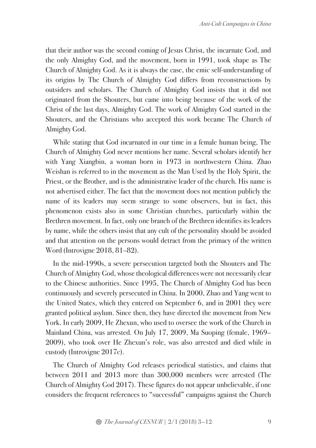that their author was the second coming of Jesus Christ, the incarnate God, and the only Almighty God, and the movement, born in 1991, took shape as The Church of Almighty God. As it is always the case, the emic self-understanding of its origins by The Church of Almighty God differs from reconstructions by outsiders and scholars. The Church of Almighty God insists that it did not originated from the Shouters, but came into being because of the work of the Christ of the last days, Almighty God. The work of Almighty God started in the Shouters, and the Christians who accepted this work became The Church of Almighty God.

While stating that God incarnated in our time in a female human being, The Church of Almighty God never mentions her name. Several scholars identify her with Yang Xiangbin, a woman born in 1973 in northwestern China. Zhao Weishan is referred to in the movement as the Man Used by the Holy Spirit, the Priest, or the Brother, and is the administrative leader of the church. His name is not advertised either. The fact that the movement does not mention publicly the name of its leaders may seem strange to some observers, but in fact, this phenomenon exists also in some Christian churches, particularly within the Brethren movement. In fact, only one branch of the Brethren identifies its leaders by name, while the others insist that any cult of the personality should be avoided and that attention on the persons would detract from the primacy of the written Word (Introvigne 2018, 81–82).

In the mid-1990s, a severe persecution targeted both the Shouters and The Church of Almighty God, whose theological differences were not necessarily clear to the Chinese authorities. Since 1995, The Church of Almighty God has been continuously and severely persecuted in China. In 2000, Zhao and Yang went to the United States, which they entered on September 6, and in 2001 they were granted political asylum. Since then, they have directed the movement from New York. In early 2009, He Zhexun, who used to oversee the work of the Church in Mainland China, was arrested. On July 17, 2009, Ma Suoping (female, 1969– 2009), who took over He Zhexun's role, was also arrested and died while in custody (Introvigne 2017c).

The Church of Almighty God releases periodical statistics, and claims that between 2011 and 2013 more than 300,000 members were arrested (The Church of Almighty God 2017). These figures do not appear unbelievable, if one considers the frequent references to "successful" campaigns against the Church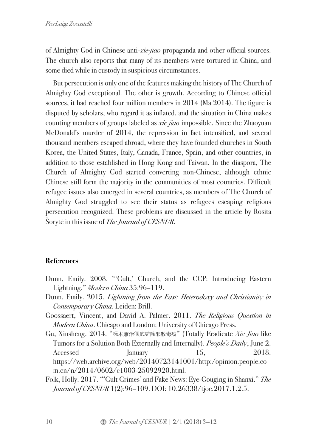of Almighty God in Chinese anti-*xie-jiao* propaganda and other official sources. The church also reports that many of its members were tortured in China, and some died while in custody in suspicious circumstances.

But persecution is only one of the features making the history of The Church of Almighty God exceptional. The other is growth. According to Chinese official sources, it had reached four million members in 2014 (Ma 2014). The figure is disputed by scholars, who regard it as inflated, and the situation in China makes counting members of groups labeled as *xie jiao* impossible. Since the Zhaoyuan McDonald's murder of 2014, the repression in fact intensified, and several thousand members escaped abroad, where they have founded churches in South Korea, the United States, Italy, Canada, France, Spain, and other countries, in addition to those established in Hong Kong and Taiwan. In the diaspora, The Church of Almighty God started converting non-Chinese, although ethnic Chinese still form the majority in the communities of most countries. Difficult refugee issues also emerged in several countries, as members of The Church of Almighty God struggled to see their status as refugees escaping religious persecution recognized. These problems are discussed in the article by Rosita Šorytė in this issue of *The Journal of CESNUR.*

# **References**

- Dunn, Emily. 2008. "'Cult,' Church, and the CCP: Introducing Eastern Lightning." *Modern China* 35:96–119.
- Dunn, Emily. 2015. *Lightning from the East: Heterodoxy and Christianity in Contemporary China*. Leiden: Brill.
- Goossaert, Vincent, and David A. Palmer. 2011. *The Religious Question in Modern China*. Chicago and London: University of Chicago Press.
- Gu, Xinsheng. 2014. "标本兼治彻底铲除邪教毒瘤" (Totally Eradicate *Xie Jiao* like Tumors for a Solution Both Externally and Internally). *People's Daily*, June 2. Accessed January 15, 2018. https://web.archive.org/web/20140723141001/http:/opinion.people.co m.cn/n/2014/0602/c1003-25092920.html.
- Folk, Holly. 2017. "'Cult Crimes' and Fake News: Eye-Gouging in Shanxi." *The Journal of CESNUR* 1(2):96–109. DOI: 10.26338/tjoc.2017.1.2.5.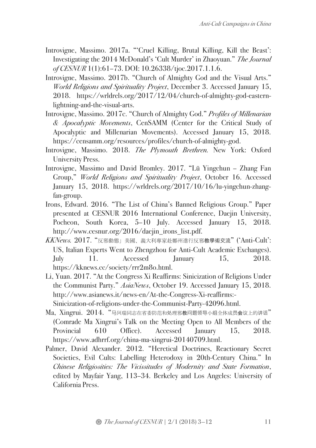- Introvigne, Massimo. 2017a. "'Cruel Killing, Brutal Killing, Kill the Beast': Investigating the 2014 McDonald's 'Cult Murder' in Zhaoyuan." *The Journal of CESNUR* 1(1):61–73. DOI: 10.26338/tjoc.2017.1.1.6.
- Introvigne, Massimo. 2017b. "Church of Almighty God and the Visual Arts." *World Religions and Spirituality Project*, December 3. Accessed January 15, 2018. https://wrldrels.org/2017/12/04/church-of-almighty-god-easternlightning-and-the-visual-arts.
- Introvigne, Massimo. 2017c. "Church of Almighty God." *Profiles of Millenarian & Apocalyptic Movements*, CenSAMM (Center for the Critical Study of Apocalyptic and Millenarian Movements). Accessed January 15, 2018. https://censamm.org/resources/profiles/church-of-almighty-god.
- Introvigne, Massimo. 2018. *The Plymouth Brethren.* New York: Oxford University Press.
- Introvigne, Massimo and David Bromley. 2017. "Lü Yingchun Zhang Fan Group," *World Religions and Spirituality Project*, October 16. Accessed January 15, 2018. https://wrldrels.org/2017/10/16/lu-yingchun-zhangfan-group.
- Irons, Edward. 2016. "The List of China's Banned Religious Group." Paper presented at CESNUR 2016 International Conference, Daejin University, Pocheon, South Korea, 5–10 July. Accessed January 15, 2018. http://www.cesnur.org/2016/daejin\_irons\_list.pdf.
- *KKNews.* 2017. "反邪動態」美國、義大利專家赴鄭州進行反邪教學術交流" ('Anti-Cult': US, Italian Experts Went to Zhengzhou for Anti-Cult Academic Exchanges). July 11. Accessed January 15, 2018. https://kknews.cc/society/rrr2m8o.html.
- Li, Yuan. 2017. "At the Congress Xi Reaffirms: Sinicization of Religions Under the Communist Party." *AsiaNews*, October 19. Accessed January 15, 2018. http://www.asianews.it/news-en/At-the-Congress-Xi-reaffirms:- Sinicization-of-religions-under-the-Communist-Party-42096.html.
- Ma, Xingrui. 2014. "马兴瑞同志在省委防范和处理邪教问题领导小组全体成员会议上的讲话" (Comrade Ma Xingrui's Talk on the Meeting Open to All Members of the Provincial 610 Office). Accessed January 15, 2018. https://www.adhrrf.org/china-ma-xingrui-20140709.html.
- Palmer, David Alexander. 2012. "Heretical Doctrines, Reactionary Secret Societies, Evil Cults: Labelling Heterodoxy in 20th-Century China." In *Chinese Religiosities: The Vicissitudes of Modernity and State Formation*, edited by Mayfair Yang, 113–34. Berkeley and Los Angeles: University of California Press.